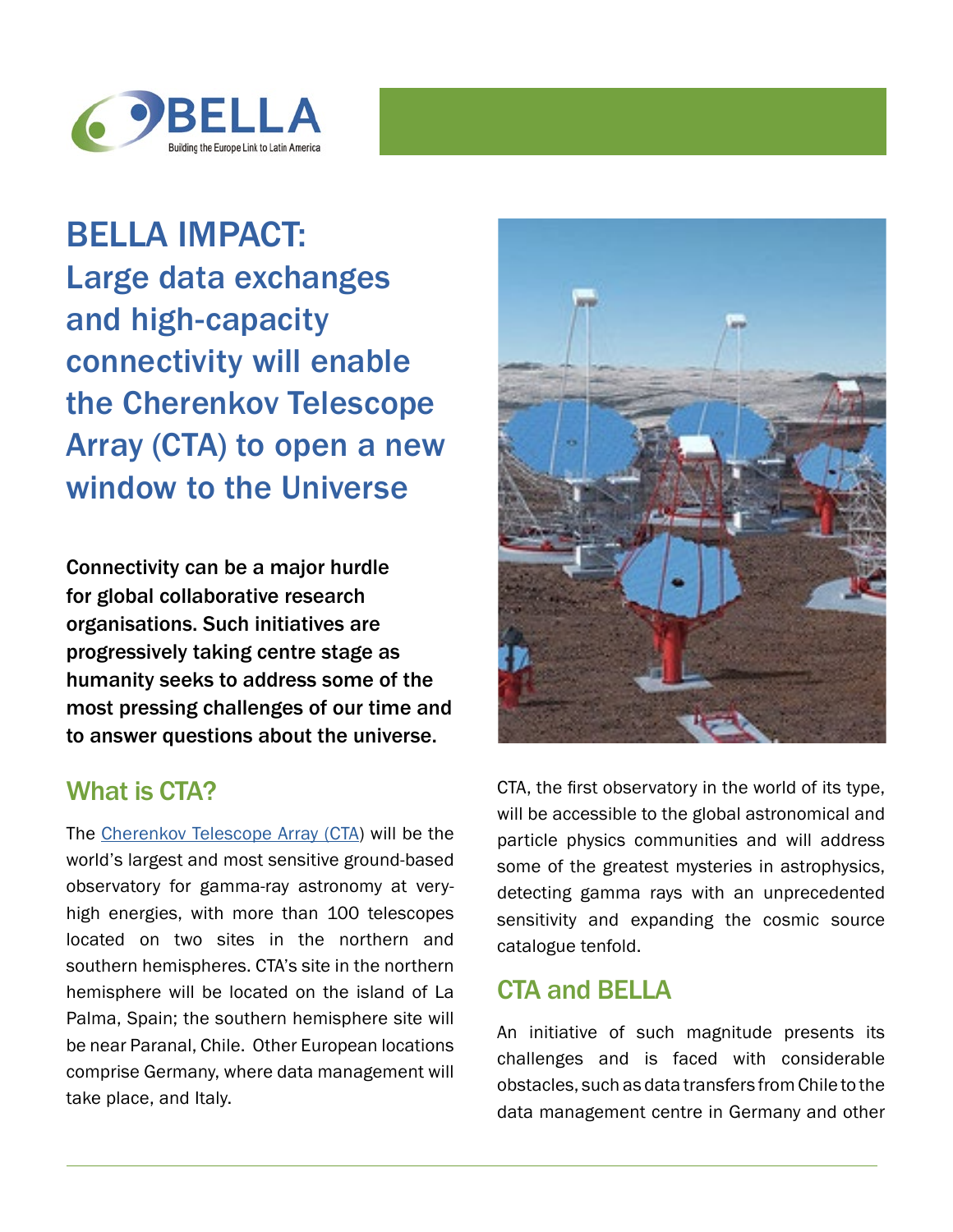

BELLA IMPACT: Large data exchanges and high-capacity connectivity will enable the Cherenkov Telescope Array (CTA) to open a new window to the Universe

Connectivity can be a major hurdle for global collaborative research organisations. Such initiatives are progressively taking centre stage as humanity seeks to address some of the most pressing challenges of our time and to answer questions about the universe.

## What is CTA?

The [Cherenkov Telescope Array \(CTA\)](https://www.cta-observatory.org/) will be the world's largest and most sensitive ground-based observatory for gamma-ray astronomy at veryhigh energies, with more than 100 telescopes located on two sites in the northern and southern hemispheres. CTA's site in the northern hemisphere will be located on the island of La Palma, Spain; the southern hemisphere site will be near Paranal, Chile. Other European locations comprise Germany, where data management will take place, and Italy.



CTA, the first observatory in the world of its type, will be accessible to the global astronomical and particle physics communities and will address some of the greatest mysteries in astrophysics, detecting gamma rays with an unprecedented sensitivity and expanding the cosmic source catalogue tenfold.

## CTA and BELLA

An initiative of such magnitude presents its challenges and is faced with considerable obstacles, such as data transfers from Chile to the data management centre in Germany and other